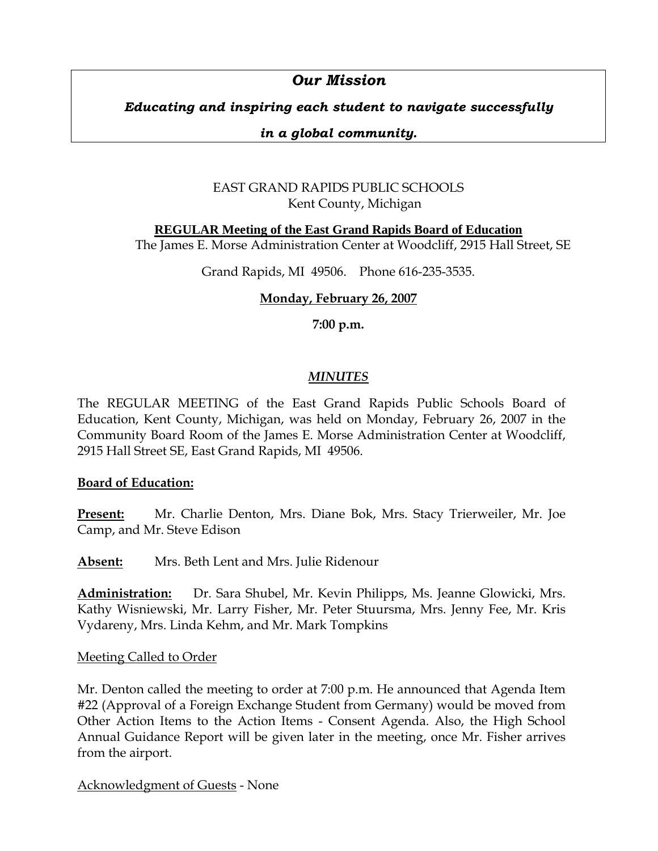# *Our Mission*

# *Educating and inspiring each student to navigate successfully*

### *in a global community.*

# EAST GRAND RAPIDS PUBLIC SCHOOLS Kent County, Michigan

**REGULAR Meeting of the East Grand Rapids Board of Education** The James E. Morse Administration Center at Woodcliff, 2915 Hall Street, SE

Grand Rapids, MI 49506. Phone 616-235-3535.

# **Monday, February 26, 2007**

**7:00 p.m.**

# *MINUTES*

The REGULAR MEETING of the East Grand Rapids Public Schools Board of Education, Kent County, Michigan, was held on Monday, February 26, 2007 in the Community Board Room of the James E. Morse Administration Center at Woodcliff, 2915 Hall Street SE, East Grand Rapids, MI 49506.

### **Board of Education:**

**Present:** Mr. Charlie Denton, Mrs. Diane Bok, Mrs. Stacy Trierweiler, Mr. Joe Camp, and Mr. Steve Edison

**Absent:** Mrs. Beth Lent and Mrs. Julie Ridenour

**Administration:** Dr. Sara Shubel, Mr. Kevin Philipps, Ms. Jeanne Glowicki, Mrs. Kathy Wisniewski, Mr. Larry Fisher, Mr. Peter Stuursma, Mrs. Jenny Fee, Mr. Kris Vydareny, Mrs. Linda Kehm, and Mr. Mark Tompkins

### **Meeting Called to Order**

Mr. Denton called the meeting to order at 7:00 p.m. He announced that Agenda Item #22 (Approval of a Foreign Exchange Student from Germany) would be moved from Other Action Items to the Action Items - Consent Agenda. Also, the High School Annual Guidance Report will be given later in the meeting, once Mr. Fisher arrives from the airport.

Acknowledgment of Guests - None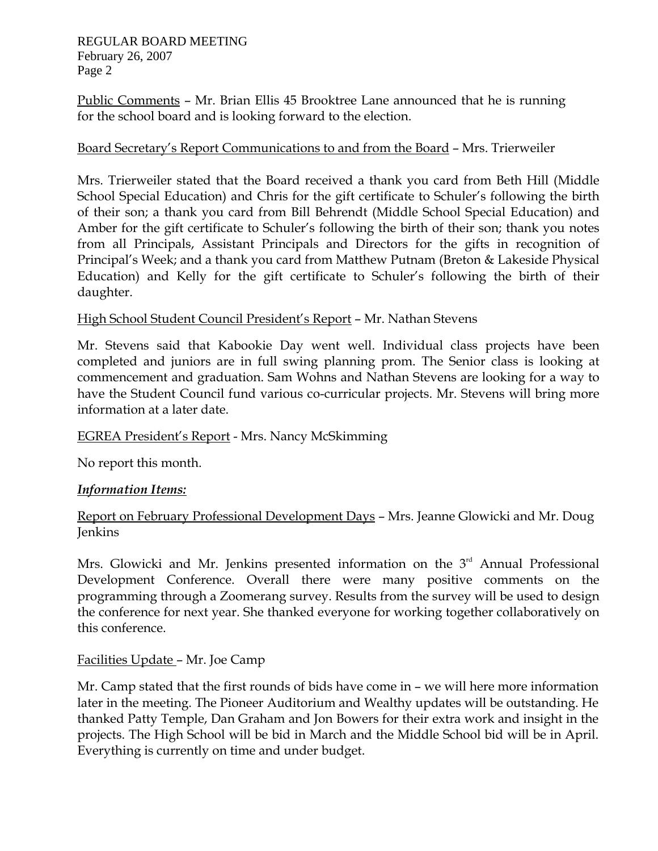Public Comments – Mr. Brian Ellis 45 Brooktree Lane announced that he is running for the school board and is looking forward to the election.

### Board Secretary's Report Communications to and from the Board – Mrs. Trierweiler

Mrs. Trierweiler stated that the Board received a thank you card from Beth Hill (Middle School Special Education) and Chris for the gift certificate to Schuler's following the birth of their son; a thank you card from Bill Behrendt (Middle School Special Education) and Amber for the gift certificate to Schuler's following the birth of their son; thank you notes from all Principals, Assistant Principals and Directors for the gifts in recognition of Principal's Week; and a thank you card from Matthew Putnam (Breton & Lakeside Physical Education) and Kelly for the gift certificate to Schuler's following the birth of their daughter.

### High School Student Council President's Report – Mr. Nathan Stevens

Mr. Stevens said that Kabookie Day went well. Individual class projects have been completed and juniors are in full swing planning prom. The Senior class is looking at commencement and graduation. Sam Wohns and Nathan Stevens are looking for a way to have the Student Council fund various co-curricular projects. Mr. Stevens will bring more information at a later date.

### EGREA President's Report - Mrs. Nancy McSkimming

No report this month.

### *Information Items:*

Report on February Professional Development Days – Mrs. Jeanne Glowicki and Mr. Doug Jenkins

Mrs. Glowicki and Mr. Jenkins presented information on the  $3<sup>rd</sup>$  Annual Professional Development Conference. Overall there were many positive comments on the programming through a Zoomerang survey. Results from the survey will be used to design the conference for next year. She thanked everyone for working together collaboratively on this conference.

### Facilities Update – Mr. Joe Camp

Mr. Camp stated that the first rounds of bids have come in – we will here more information later in the meeting. The Pioneer Auditorium and Wealthy updates will be outstanding. He thanked Patty Temple, Dan Graham and Jon Bowers for their extra work and insight in the projects. The High School will be bid in March and the Middle School bid will be in April. Everything is currently on time and under budget.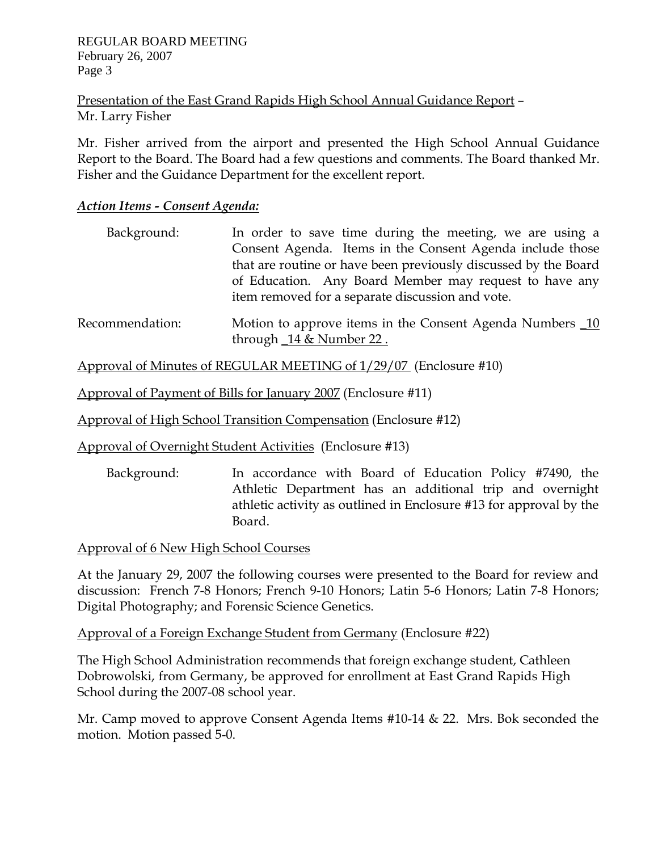Presentation of the East Grand Rapids High School Annual Guidance Report – Mr. Larry Fisher

Mr. Fisher arrived from the airport and presented the High School Annual Guidance Report to the Board. The Board had a few questions and comments. The Board thanked Mr. Fisher and the Guidance Department for the excellent report.

### *Action Items - Consent Agenda:*

| Background: | In order to save time during the meeting, we are using a        |
|-------------|-----------------------------------------------------------------|
|             | Consent Agenda. Items in the Consent Agenda include those       |
|             | that are routine or have been previously discussed by the Board |
|             | of Education. Any Board Member may request to have any          |
|             | item removed for a separate discussion and vote.                |
|             |                                                                 |

Recommendation: Motion to approve items in the Consent Agenda Numbers 10 through \_14 & Number 22 .

Approval of Minutes of REGULAR MEETING of 1/29/07 (Enclosure #10)

Approval of Payment of Bills for January 2007 (Enclosure #11)

Approval of High School Transition Compensation (Enclosure #12)

Approval of Overnight Student Activities (Enclosure #13)

 Background: In accordance with Board of Education Policy #7490, the Athletic Department has an additional trip and overnight athletic activity as outlined in Enclosure #13 for approval by the Board.

Approval of 6 New High School Courses

At the January 29, 2007 the following courses were presented to the Board for review and discussion: French 7-8 Honors; French 9-10 Honors; Latin 5-6 Honors; Latin 7-8 Honors; Digital Photography; and Forensic Science Genetics.

Approval of a Foreign Exchange Student from Germany (Enclosure #22)

The High School Administration recommends that foreign exchange student, Cathleen Dobrowolski, from Germany, be approved for enrollment at East Grand Rapids High School during the 2007-08 school year.

Mr. Camp moved to approve Consent Agenda Items #10-14 & 22. Mrs. Bok seconded the motion. Motion passed 5-0.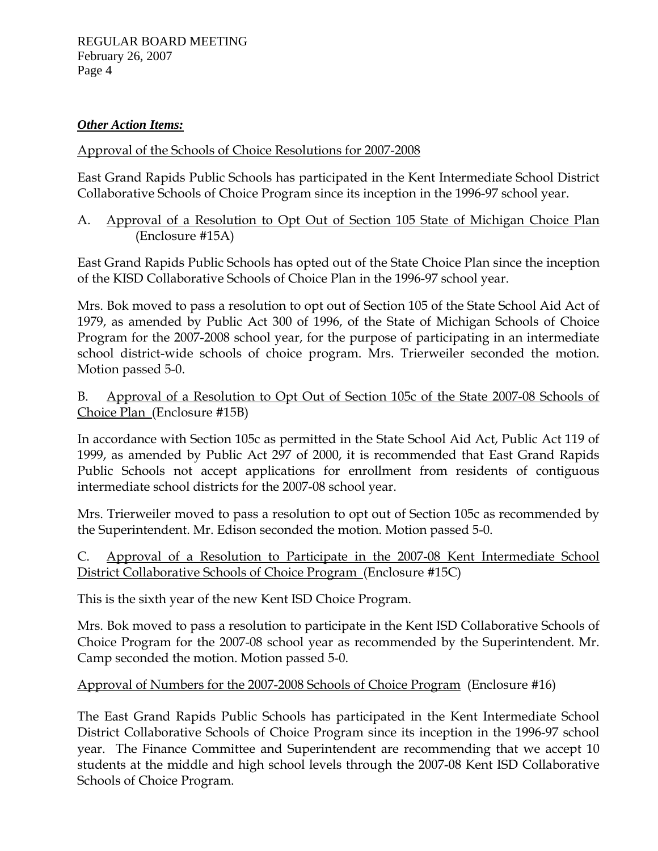# *Other Action Items:*

### Approval of the Schools of Choice Resolutions for 2007-2008

East Grand Rapids Public Schools has participated in the Kent Intermediate School District Collaborative Schools of Choice Program since its inception in the 1996-97 school year.

### A. Approval of a Resolution to Opt Out of Section 105 State of Michigan Choice Plan (Enclosure #15A)

East Grand Rapids Public Schools has opted out of the State Choice Plan since the inception of the KISD Collaborative Schools of Choice Plan in the 1996-97 school year.

Mrs. Bok moved to pass a resolution to opt out of Section 105 of the State School Aid Act of 1979, as amended by Public Act 300 of 1996, of the State of Michigan Schools of Choice Program for the 2007-2008 school year, for the purpose of participating in an intermediate school district-wide schools of choice program. Mrs. Trierweiler seconded the motion. Motion passed 5-0.

### B. Approval of a Resolution to Opt Out of Section 105c of the State 2007-08 Schools of Choice Plan (Enclosure #15B)

In accordance with Section 105c as permitted in the State School Aid Act, Public Act 119 of 1999, as amended by Public Act 297 of 2000, it is recommended that East Grand Rapids Public Schools not accept applications for enrollment from residents of contiguous intermediate school districts for the 2007-08 school year.

Mrs. Trierweiler moved to pass a resolution to opt out of Section 105c as recommended by the Superintendent. Mr. Edison seconded the motion. Motion passed 5-0.

# C. Approval of a Resolution to Participate in the 2007-08 Kent Intermediate School District Collaborative Schools of Choice Program (Enclosure #15C)

This is the sixth year of the new Kent ISD Choice Program.

Mrs. Bok moved to pass a resolution to participate in the Kent ISD Collaborative Schools of Choice Program for the 2007-08 school year as recommended by the Superintendent. Mr. Camp seconded the motion. Motion passed 5-0.

# Approval of Numbers for the 2007-2008 Schools of Choice Program (Enclosure #16)

The East Grand Rapids Public Schools has participated in the Kent Intermediate School District Collaborative Schools of Choice Program since its inception in the 1996-97 school year. The Finance Committee and Superintendent are recommending that we accept 10 students at the middle and high school levels through the 2007-08 Kent ISD Collaborative Schools of Choice Program.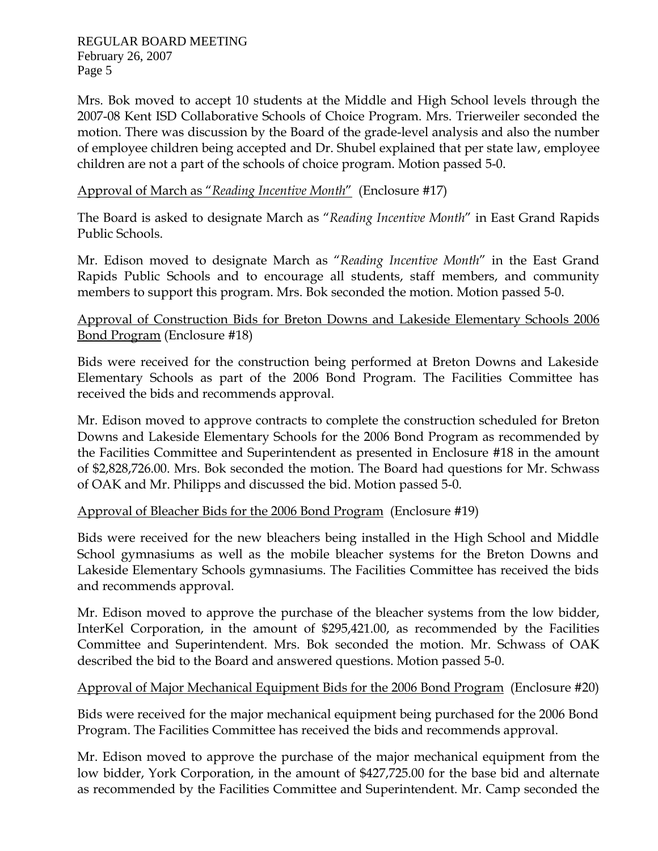Mrs. Bok moved to accept 10 students at the Middle and High School levels through the 2007-08 Kent ISD Collaborative Schools of Choice Program. Mrs. Trierweiler seconded the motion. There was discussion by the Board of the grade-level analysis and also the number of employee children being accepted and Dr. Shubel explained that per state law, employee children are not a part of the schools of choice program. Motion passed 5-0.

### Approval of March as "*Reading Incentive Month*" (Enclosure #17)

The Board is asked to designate March as "*Reading Incentive Month*" in East Grand Rapids Public Schools.

Mr. Edison moved to designate March as "*Reading Incentive Month*" in the East Grand Rapids Public Schools and to encourage all students, staff members, and community members to support this program. Mrs. Bok seconded the motion. Motion passed 5-0.

### Approval of Construction Bids for Breton Downs and Lakeside Elementary Schools 2006 Bond Program (Enclosure #18)

Bids were received for the construction being performed at Breton Downs and Lakeside Elementary Schools as part of the 2006 Bond Program. The Facilities Committee has received the bids and recommends approval.

Mr. Edison moved to approve contracts to complete the construction scheduled for Breton Downs and Lakeside Elementary Schools for the 2006 Bond Program as recommended by the Facilities Committee and Superintendent as presented in Enclosure #18 in the amount of \$2,828,726.00. Mrs. Bok seconded the motion. The Board had questions for Mr. Schwass of OAK and Mr. Philipps and discussed the bid. Motion passed 5-0.

### Approval of Bleacher Bids for the 2006 Bond Program (Enclosure #19)

Bids were received for the new bleachers being installed in the High School and Middle School gymnasiums as well as the mobile bleacher systems for the Breton Downs and Lakeside Elementary Schools gymnasiums. The Facilities Committee has received the bids and recommends approval.

Mr. Edison moved to approve the purchase of the bleacher systems from the low bidder, InterKel Corporation, in the amount of \$295,421.00, as recommended by the Facilities Committee and Superintendent. Mrs. Bok seconded the motion. Mr. Schwass of OAK described the bid to the Board and answered questions. Motion passed 5-0.

### Approval of Major Mechanical Equipment Bids for the 2006 Bond Program (Enclosure #20)

Bids were received for the major mechanical equipment being purchased for the 2006 Bond Program. The Facilities Committee has received the bids and recommends approval.

Mr. Edison moved to approve the purchase of the major mechanical equipment from the low bidder, York Corporation, in the amount of \$427,725.00 for the base bid and alternate as recommended by the Facilities Committee and Superintendent. Mr. Camp seconded the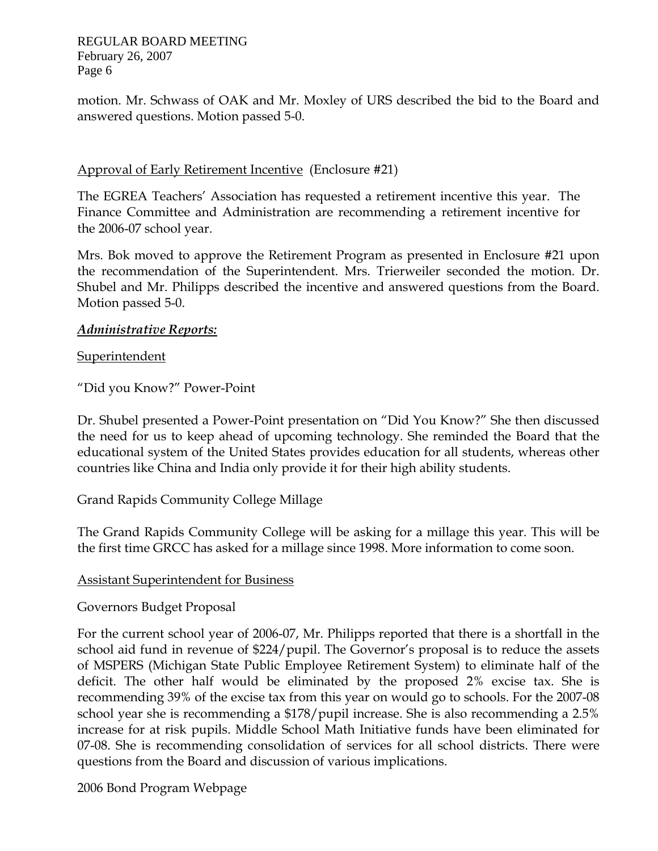motion. Mr. Schwass of OAK and Mr. Moxley of URS described the bid to the Board and answered questions. Motion passed 5-0.

### Approval of Early Retirement Incentive (Enclosure #21)

The EGREA Teachers' Association has requested a retirement incentive this year. The Finance Committee and Administration are recommending a retirement incentive for the 2006-07 school year.

Mrs. Bok moved to approve the Retirement Program as presented in Enclosure #21 upon the recommendation of the Superintendent. Mrs. Trierweiler seconded the motion. Dr. Shubel and Mr. Philipps described the incentive and answered questions from the Board. Motion passed 5-0.

### *Administrative Reports:*

Superintendent

"Did you Know?" Power-Point

Dr. Shubel presented a Power-Point presentation on "Did You Know?" She then discussed the need for us to keep ahead of upcoming technology. She reminded the Board that the educational system of the United States provides education for all students, whereas other countries like China and India only provide it for their high ability students.

Grand Rapids Community College Millage

The Grand Rapids Community College will be asking for a millage this year. This will be the first time GRCC has asked for a millage since 1998. More information to come soon.

### Assistant Superintendent for Business

### Governors Budget Proposal

For the current school year of 2006-07, Mr. Philipps reported that there is a shortfall in the school aid fund in revenue of \$224/pupil. The Governor's proposal is to reduce the assets of MSPERS (Michigan State Public Employee Retirement System) to eliminate half of the deficit. The other half would be eliminated by the proposed 2% excise tax. She is recommending 39% of the excise tax from this year on would go to schools. For the 2007-08 school year she is recommending a \$178/pupil increase. She is also recommending a 2.5% increase for at risk pupils. Middle School Math Initiative funds have been eliminated for 07-08. She is recommending consolidation of services for all school districts. There were questions from the Board and discussion of various implications.

2006 Bond Program Webpage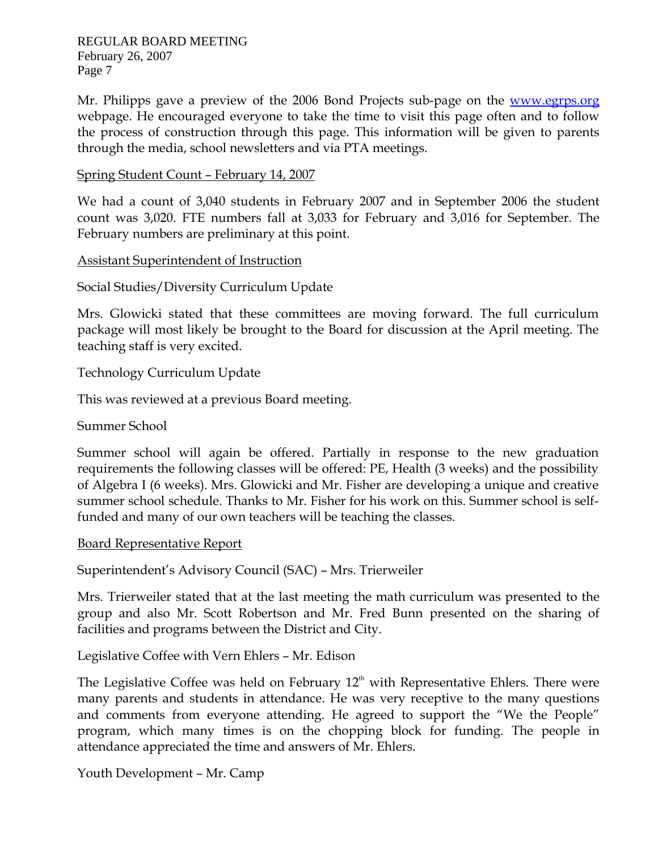Mr. Philipps gave a preview of the 2006 Bond Projects sub-page on the www.egrps.org webpage. He encouraged everyone to take the time to visit this page often and to follow the process of construction through this page. This information will be given to parents through the media, school newsletters and via PTA meetings.

#### Spring Student Count – February 14, 2007

We had a count of 3,040 students in February 2007 and in September 2006 the student count was 3,020. FTE numbers fall at 3,033 for February and 3,016 for September. The February numbers are preliminary at this point.

Assistant Superintendent of Instruction

Social Studies/Diversity Curriculum Update

Mrs. Glowicki stated that these committees are moving forward. The full curriculum package will most likely be brought to the Board for discussion at the April meeting. The teaching staff is very excited.

Technology Curriculum Update

This was reviewed at a previous Board meeting.

Summer School

Summer school will again be offered. Partially in response to the new graduation requirements the following classes will be offered: PE, Health (3 weeks) and the possibility of Algebra I (6 weeks). Mrs. Glowicki and Mr. Fisher are developing a unique and creative summer school schedule. Thanks to Mr. Fisher for his work on this. Summer school is selffunded and many of our own teachers will be teaching the classes.

Board Representative Report

Superintendent's Advisory Council (SAC) – Mrs. Trierweiler

Mrs. Trierweiler stated that at the last meeting the math curriculum was presented to the group and also Mr. Scott Robertson and Mr. Fred Bunn presented on the sharing of facilities and programs between the District and City.

Legislative Coffee with Vern Ehlers – Mr. Edison

The Legislative Coffee was held on February  $12<sup>th</sup>$  with Representative Ehlers. There were many parents and students in attendance. He was very receptive to the many questions and comments from everyone attending. He agreed to support the "We the People" program, which many times is on the chopping block for funding. The people in attendance appreciated the time and answers of Mr. Ehlers.

Youth Development – Mr. Camp